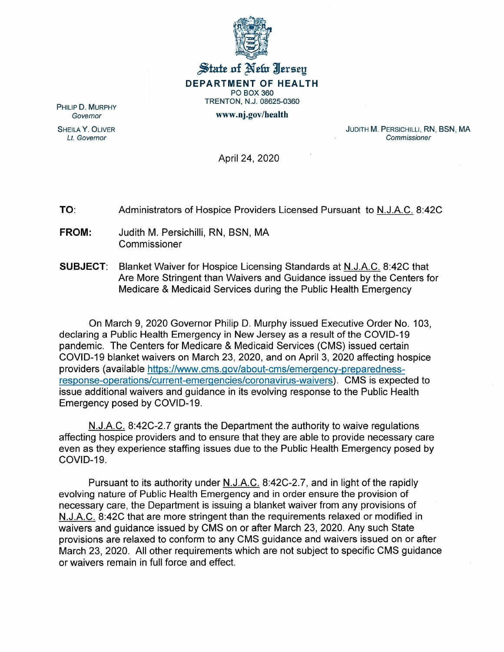

## State of New Jersey DEPARTMENT OF HEALTH PO BOX 360 TRENTON, N.J. 08625-0360

www.nj.gov/health

PHILIP D. MURPHY *Governor*

SHEILA Y. OLIVER *Lt. Governor*

JUDITH M. PERSICHILLI, RN, BSN, MA *Commissioner*

April 24, 2020

TO: Administrators of Hospice Providers Licensed Pursuant to N.J.A.C. 8:42C

- FROM: Judith M. Persichilli, RN, BSN, MA Commissioner
- SUBJECT: Blanket Waiver for Hospice Licensing Standards at N.J.A.C. 8:42C that Are More Stringent than Waivers and Guidance issued by the Centers for Medicare & Medicaid Services during the Public Health Emergency

On March 9, 2020 Governor Philip D. Murphy issued Executive Order No.1 03, declaring a Public Health Emergency in New Jersey as a result of the COV10-19 pandemic. The Centers for Medicare & Medicaid Services (CMS) issued certain COVID-19 blanket waivers on March 23,2020, and on April 3, 2020 affecting hospice providers (available https://www.cms.gov/about-cms/emergency-preparednessresponse-operations/current-emergencies/coronavirus-waivers). CMS is expected to issue additional waivers and guidance in its evolving response to the Public Health Emergency posed by COVID-19.

N.J.A.C. 8:42C-2.7 grants the Department the authority to waive regulations affecting hospice providers and to ensure that they are able to provide necessary care even as they experience staffing issues due to the Public Health Emergency posed by COVID-19.

Pursuant to its authority under N.J.A.C. 8:42C-2.7, and in light of the rapidly evolving nature of Public Health Emergency and in order ensure the provision of necessary care, the Department is issuing a blanket waiver from any provisions of N.J.A.C. 8:42C that are more stringent than the requirements relaxed or modified in waivers and guidance issued by CMS on or after March 23, 2020. Any such State provisions are relaxed to conform to any CMS guidance and waivers issued on or after March 23, 2020. All other requirements which are not subject to specific CMS guidance or waivers remain in full force and effect.